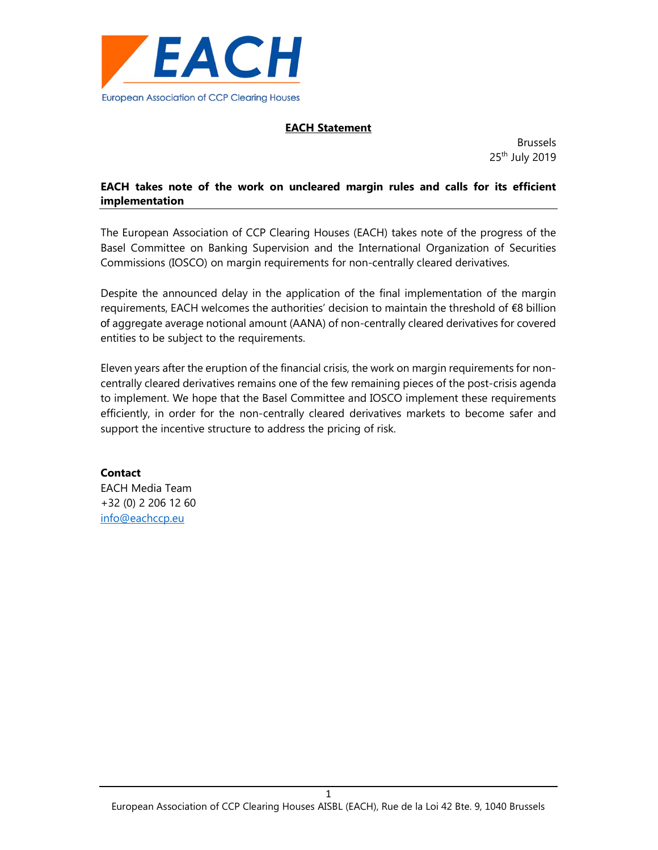

# EACH Statement

Brussels 25<sup>th</sup> July 2019

# EACH takes note of the work on uncleared margin rules and calls for its efficient implementation

The European Association of CCP Clearing Houses (EACH) takes note of the progress of the Basel Committee on Banking Supervision and the International Organization of Securities Commissions (IOSCO) on margin requirements for non-centrally cleared derivatives.

Despite the announced delay in the application of the final implementation of the margin requirements, EACH welcomes the authorities' decision to maintain the threshold of €8 billion of aggregate average notional amount (AANA) of non-centrally cleared derivatives for covered entities to be subject to the requirements.

Eleven years after the eruption of the financial crisis, the work on margin requirements for noncentrally cleared derivatives remains one of the few remaining pieces of the post-crisis agenda to implement. We hope that the Basel Committee and IOSCO implement these requirements efficiently, in order for the non-centrally cleared derivatives markets to become safer and support the incentive structure to address the pricing of risk.

**Contact** EACH Media Team +32 (0) 2 206 12 60 info@eachccp.eu